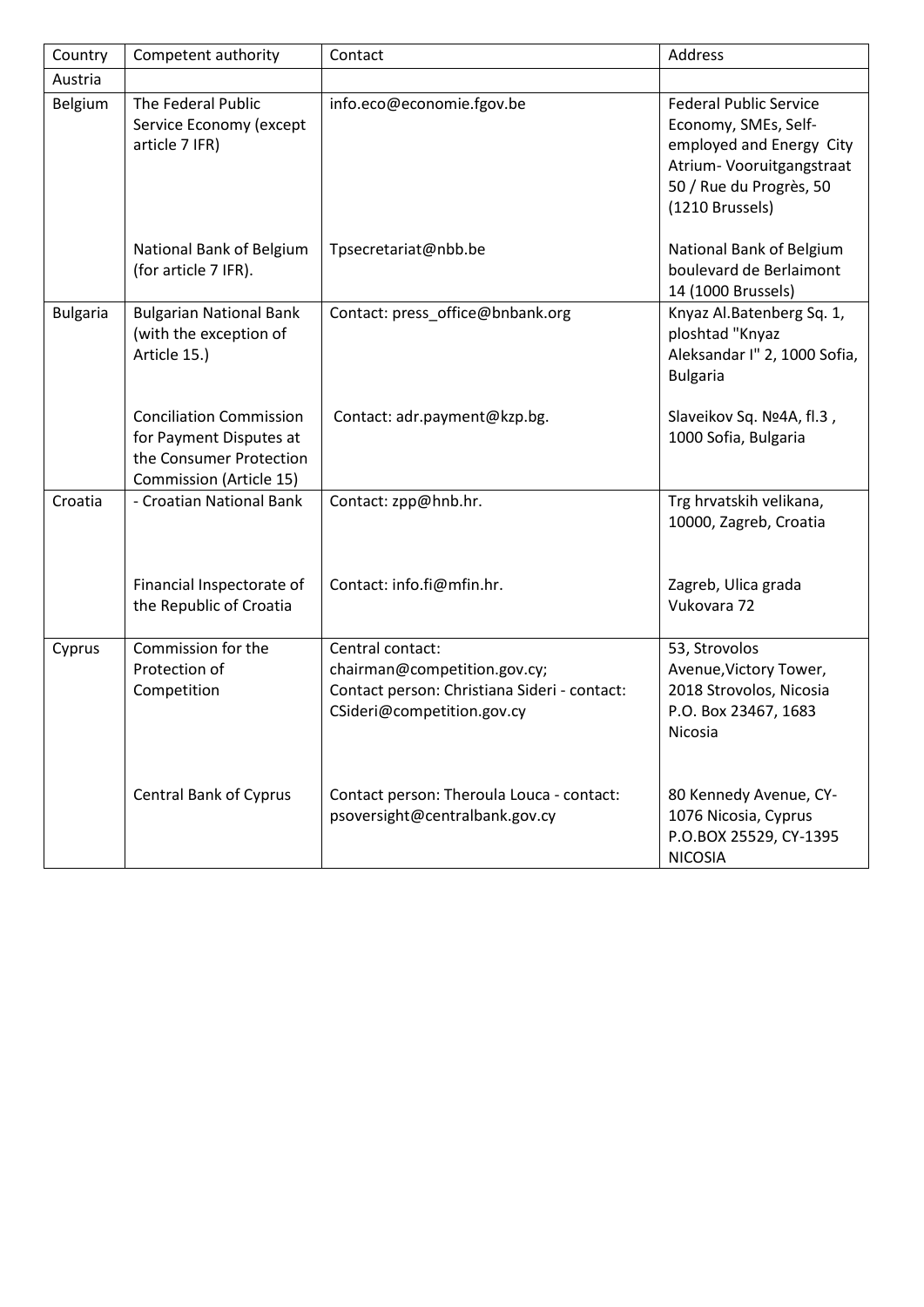| Country         | Competent authority                                                                                             | Contact                                                                                                                        | Address                                                                                                                                                      |
|-----------------|-----------------------------------------------------------------------------------------------------------------|--------------------------------------------------------------------------------------------------------------------------------|--------------------------------------------------------------------------------------------------------------------------------------------------------------|
| Austria         |                                                                                                                 |                                                                                                                                |                                                                                                                                                              |
| Belgium         | The Federal Public<br>Service Economy (except<br>article 7 IFR)                                                 | info.eco@economie.fgov.be                                                                                                      | <b>Federal Public Service</b><br>Economy, SMEs, Self-<br>employed and Energy City<br>Atrium- Vooruitgangstraat<br>50 / Rue du Progrès, 50<br>(1210 Brussels) |
|                 | National Bank of Belgium<br>(for article 7 IFR).                                                                | Tpsecretariat@nbb.be                                                                                                           | National Bank of Belgium<br>boulevard de Berlaimont<br>14 (1000 Brussels)                                                                                    |
| <b>Bulgaria</b> | <b>Bulgarian National Bank</b><br>(with the exception of<br>Article 15.)                                        | Contact: press_office@bnbank.org                                                                                               | Knyaz Al.Batenberg Sq. 1,<br>ploshtad "Knyaz<br>Aleksandar I" 2, 1000 Sofia,<br><b>Bulgaria</b>                                                              |
|                 | <b>Conciliation Commission</b><br>for Payment Disputes at<br>the Consumer Protection<br>Commission (Article 15) | Contact: adr.payment@kzp.bg.                                                                                                   | Slaveikov Sq. Nº4A, fl.3,<br>1000 Sofia, Bulgaria                                                                                                            |
| Croatia         | - Croatian National Bank                                                                                        | Contact: zpp@hnb.hr.                                                                                                           | Trg hrvatskih velikana,<br>10000, Zagreb, Croatia                                                                                                            |
|                 | Financial Inspectorate of<br>the Republic of Croatia                                                            | Contact: info.fi@mfin.hr.                                                                                                      | Zagreb, Ulica grada<br>Vukovara 72                                                                                                                           |
| Cyprus          | Commission for the<br>Protection of<br>Competition                                                              | Central contact:<br>chairman@competition.gov.cy;<br>Contact person: Christiana Sideri - contact:<br>CSideri@competition.gov.cy | 53, Strovolos<br>Avenue, Victory Tower,<br>2018 Strovolos, Nicosia<br>P.O. Box 23467, 1683<br>Nicosia                                                        |
|                 | <b>Central Bank of Cyprus</b>                                                                                   | Contact person: Theroula Louca - contact:<br>psoversight@centralbank.gov.cy                                                    | 80 Kennedy Avenue, CY-<br>1076 Nicosia, Cyprus<br>P.O.BOX 25529, CY-1395<br><b>NICOSIA</b>                                                                   |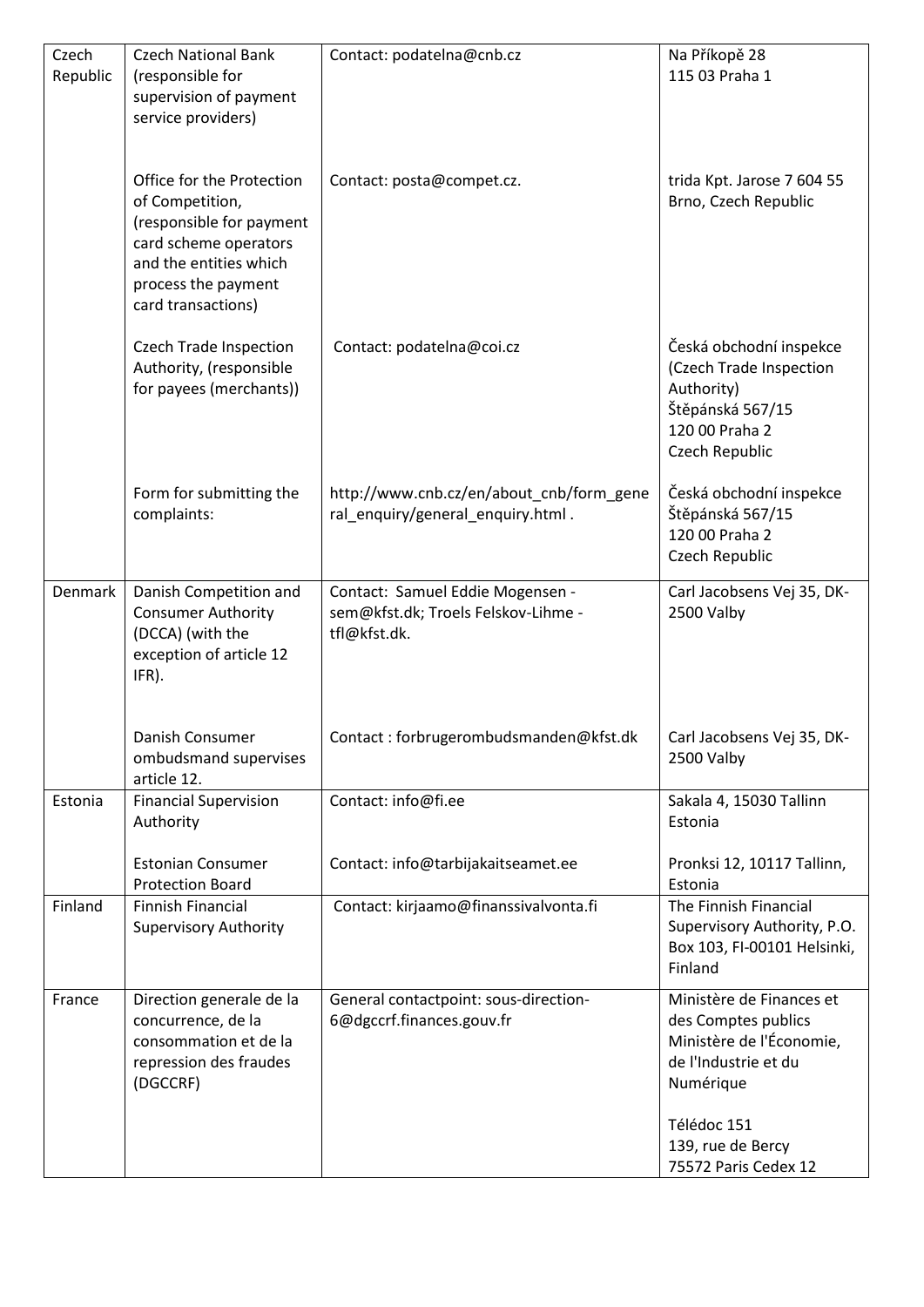| Czech    | <b>Czech National Bank</b>                          | Contact: podatelna@cnb.cz                                               | Na Příkopě 28                                      |
|----------|-----------------------------------------------------|-------------------------------------------------------------------------|----------------------------------------------------|
| Republic | (responsible for                                    |                                                                         | 115 03 Praha 1                                     |
|          | supervision of payment                              |                                                                         |                                                    |
|          | service providers)                                  |                                                                         |                                                    |
|          |                                                     |                                                                         |                                                    |
|          |                                                     |                                                                         |                                                    |
|          | Office for the Protection                           | Contact: posta@compet.cz.                                               | trida Kpt. Jarose 7 604 55<br>Brno, Czech Republic |
|          | of Competition,<br>(responsible for payment         |                                                                         |                                                    |
|          | card scheme operators                               |                                                                         |                                                    |
|          | and the entities which                              |                                                                         |                                                    |
|          | process the payment                                 |                                                                         |                                                    |
|          | card transactions)                                  |                                                                         |                                                    |
|          |                                                     |                                                                         |                                                    |
|          | <b>Czech Trade Inspection</b>                       | Contact: podatelna@coi.cz                                               | Česká obchodní inspekce                            |
|          | Authority, (responsible                             |                                                                         | (Czech Trade Inspection                            |
|          | for payees (merchants))                             |                                                                         | Authority)                                         |
|          |                                                     |                                                                         | Štěpánská 567/15                                   |
|          |                                                     |                                                                         | 120 00 Praha 2                                     |
|          |                                                     |                                                                         | Czech Republic                                     |
|          | Form for submitting the                             | http://www.cnb.cz/en/about_cnb/form_gene                                | Česká obchodní inspekce                            |
|          | complaints:                                         | ral_enquiry/general_enquiry.html.                                       | Štěpánská 567/15                                   |
|          |                                                     |                                                                         | 120 00 Praha 2                                     |
|          |                                                     |                                                                         | Czech Republic                                     |
|          |                                                     |                                                                         |                                                    |
| Denmark  | Danish Competition and<br><b>Consumer Authority</b> | Contact: Samuel Eddie Mogensen -<br>sem@kfst.dk; Troels Felskov-Lihme - | Carl Jacobsens Vej 35, DK-<br>2500 Valby           |
|          | (DCCA) (with the                                    | tfl@kfst.dk.                                                            |                                                    |
|          | exception of article 12                             |                                                                         |                                                    |
|          | IFR).                                               |                                                                         |                                                    |
|          |                                                     |                                                                         |                                                    |
|          |                                                     |                                                                         |                                                    |
|          | Danish Consumer<br>ombudsmand supervises            | Contact: forbrugerombudsmanden@kfst.dk                                  | Carl Jacobsens Vej 35, DK-<br>2500 Valby           |
|          | article 12.                                         |                                                                         |                                                    |
| Estonia  | <b>Financial Supervision</b>                        | Contact: info@fi.ee                                                     | Sakala 4, 15030 Tallinn                            |
|          | Authority                                           |                                                                         | Estonia                                            |
|          |                                                     |                                                                         |                                                    |
|          | <b>Estonian Consumer</b>                            | Contact: info@tarbijakaitseamet.ee                                      | Pronksi 12, 10117 Tallinn,                         |
|          | <b>Protection Board</b>                             |                                                                         | Estonia                                            |
| Finland  | <b>Finnish Financial</b>                            | Contact: kirjaamo@finanssivalvonta.fi                                   | The Finnish Financial                              |
|          | <b>Supervisory Authority</b>                        |                                                                         | Supervisory Authority, P.O.                        |
|          |                                                     |                                                                         | Box 103, FI-00101 Helsinki,                        |
|          |                                                     |                                                                         | Finland                                            |
| France   | Direction generale de la                            | General contactpoint: sous-direction-                                   | Ministère de Finances et                           |
|          | concurrence, de la                                  | 6@dgccrf.finances.gouv.fr                                               | des Comptes publics                                |
|          | consommation et de la                               |                                                                         | Ministère de l'Économie,                           |
|          | repression des fraudes                              |                                                                         | de l'Industrie et du                               |
|          | (DGCCRF)                                            |                                                                         | Numérique                                          |
|          |                                                     |                                                                         | Télédoc 151                                        |
|          |                                                     |                                                                         | 139, rue de Bercy                                  |
|          |                                                     |                                                                         | 75572 Paris Cedex 12                               |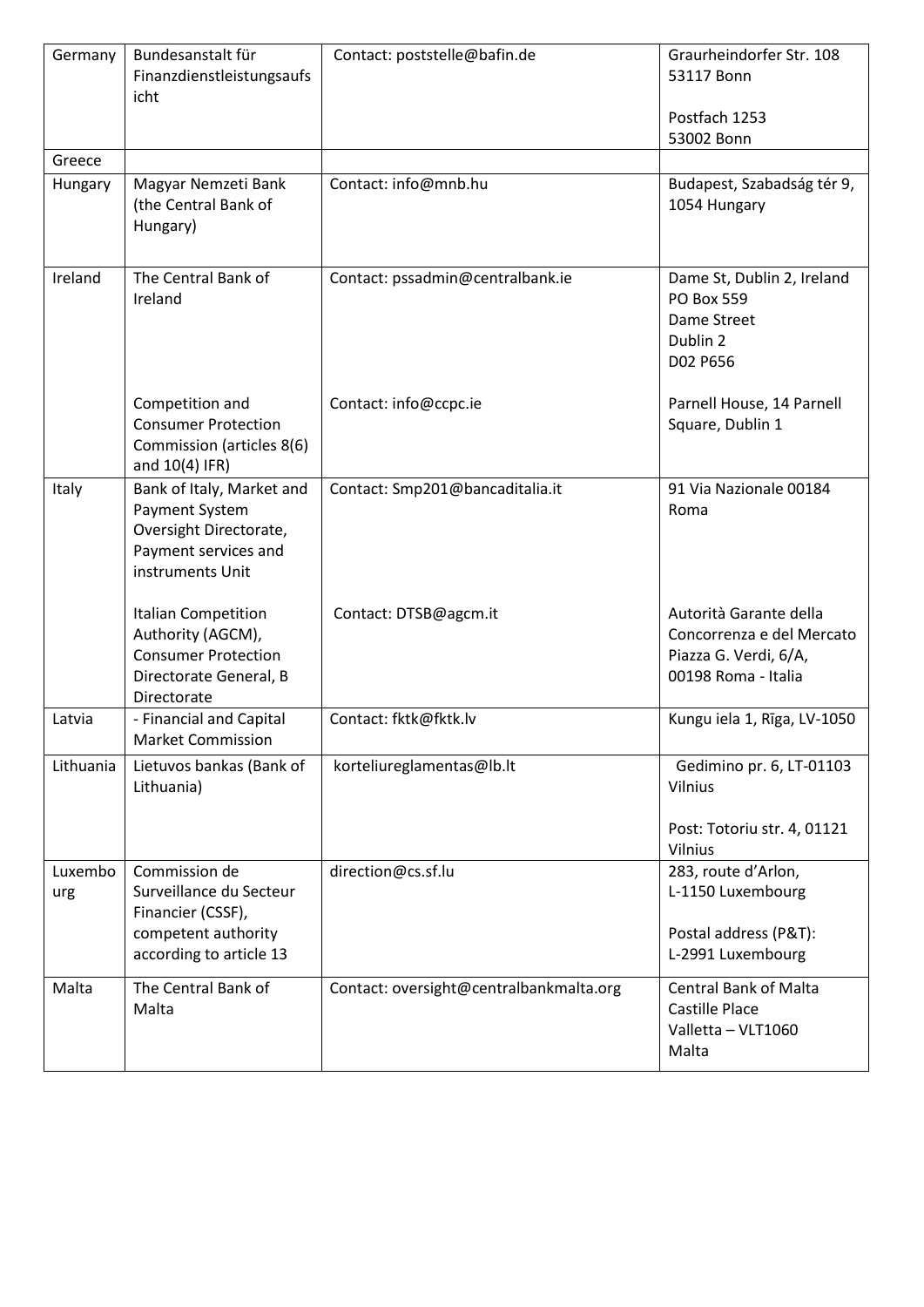| Germany        | Bundesanstalt für<br>Finanzdienstleistungsaufs<br>icht                                                            | Contact: poststelle@bafin.de            | Graurheindorfer Str. 108<br>53117 Bonn                                                              |
|----------------|-------------------------------------------------------------------------------------------------------------------|-----------------------------------------|-----------------------------------------------------------------------------------------------------|
|                |                                                                                                                   |                                         | Postfach 1253<br>53002 Bonn                                                                         |
| Greece         |                                                                                                                   |                                         |                                                                                                     |
| Hungary        | Magyar Nemzeti Bank<br>(the Central Bank of<br>Hungary)                                                           | Contact: info@mnb.hu                    | Budapest, Szabadság tér 9,<br>1054 Hungary                                                          |
| Ireland        | The Central Bank of<br>Ireland                                                                                    | Contact: pssadmin@centralbank.ie        | Dame St, Dublin 2, Ireland<br>PO Box 559<br>Dame Street<br>Dublin 2<br>D02 P656                     |
|                | Competition and<br><b>Consumer Protection</b><br>Commission (articles 8(6)<br>and 10(4) IFR)                      | Contact: info@ccpc.ie                   | Parnell House, 14 Parnell<br>Square, Dublin 1                                                       |
| Italy          | Bank of Italy, Market and<br>Payment System<br>Oversight Directorate,<br>Payment services and<br>instruments Unit | Contact: Smp201@bancaditalia.it         | 91 Via Nazionale 00184<br>Roma                                                                      |
|                | Italian Competition<br>Authority (AGCM),<br><b>Consumer Protection</b><br>Directorate General, B<br>Directorate   | Contact: DTSB@agcm.it                   | Autorità Garante della<br>Concorrenza e del Mercato<br>Piazza G. Verdi, 6/A,<br>00198 Roma - Italia |
| Latvia         | - Financial and Capital<br><b>Market Commission</b>                                                               | Contact: fktk@fktk.lv                   | Kungu iela 1, Rīga, LV-1050                                                                         |
| Lithuania      | Lietuvos bankas (Bank of<br>Lithuania)                                                                            | korteliureglamentas@lb.lt               | Gedimino pr. 6, LT-01103<br>Vilnius                                                                 |
|                |                                                                                                                   |                                         | Post: Totoriu str. 4, 01121<br>Vilnius                                                              |
| Luxembo<br>urg | Commission de<br>Surveillance du Secteur<br>Financier (CSSF),<br>competent authority<br>according to article 13   | direction@cs.sf.lu                      | 283, route d'Arlon,<br>L-1150 Luxembourg<br>Postal address (P&T):<br>L-2991 Luxembourg              |
|                |                                                                                                                   |                                         |                                                                                                     |
| Malta          | The Central Bank of<br>Malta                                                                                      | Contact: oversight@centralbankmalta.org | <b>Central Bank of Malta</b><br><b>Castille Place</b><br>Valletta - VLT1060<br>Malta                |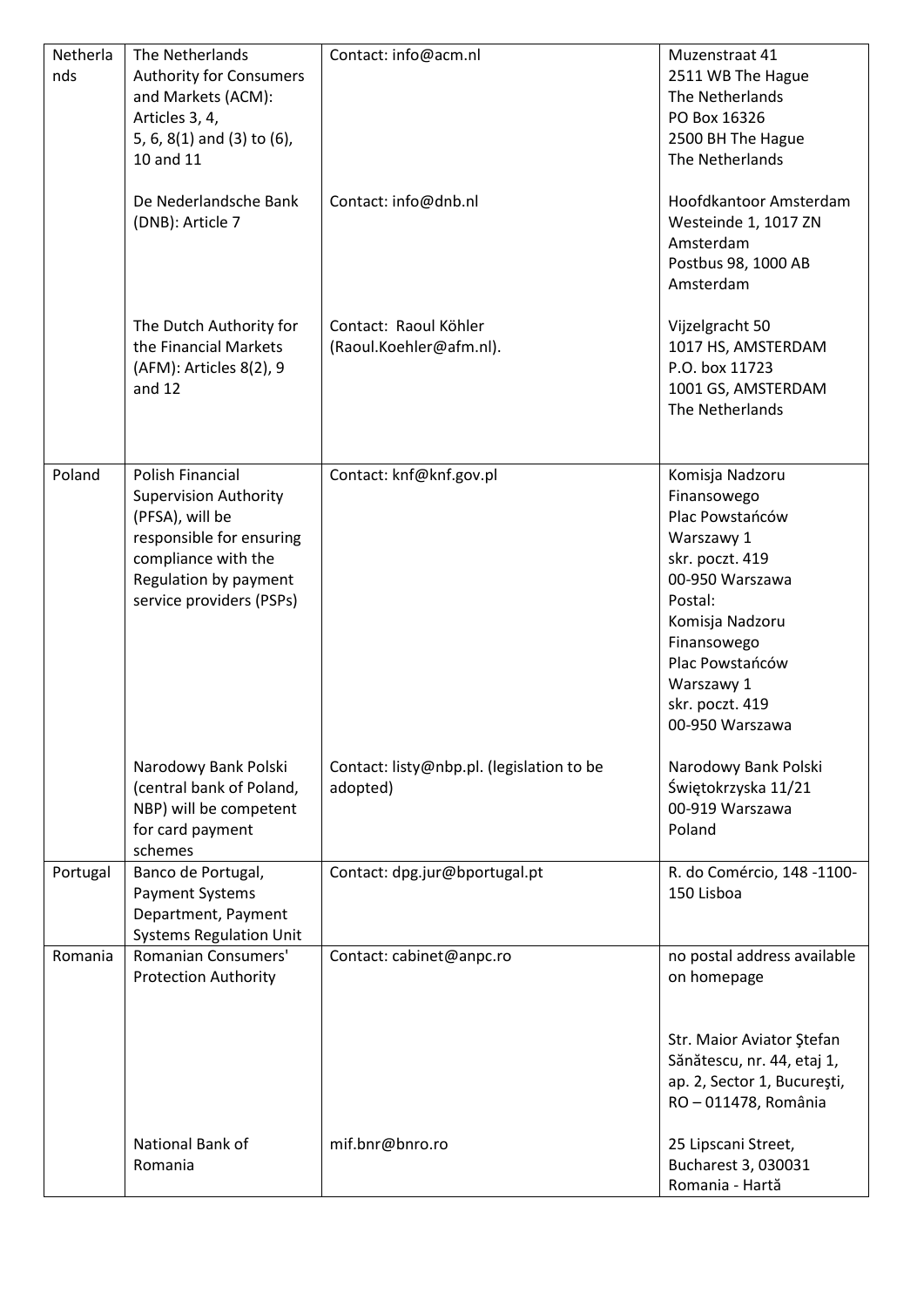| Netherla<br>nds | The Netherlands<br><b>Authority for Consumers</b><br>and Markets (ACM):<br>Articles 3, 4,<br>5, 6, 8(1) and (3) to (6),<br>10 and 11                                        | Contact: info@acm.nl                                  | Muzenstraat 41<br>2511 WB The Hague<br>The Netherlands<br>PO Box 16326<br>2500 BH The Hague<br>The Netherlands                                                                                                            |
|-----------------|-----------------------------------------------------------------------------------------------------------------------------------------------------------------------------|-------------------------------------------------------|---------------------------------------------------------------------------------------------------------------------------------------------------------------------------------------------------------------------------|
|                 | De Nederlandsche Bank<br>(DNB): Article 7                                                                                                                                   | Contact: info@dnb.nl                                  | Hoofdkantoor Amsterdam<br>Westeinde 1, 1017 ZN<br>Amsterdam<br>Postbus 98, 1000 AB<br>Amsterdam                                                                                                                           |
|                 | The Dutch Authority for<br>the Financial Markets<br>(AFM): Articles 8(2), 9<br>and $12$                                                                                     | Contact: Raoul Köhler<br>(Raoul.Koehler@afm.nl).      | Vijzelgracht 50<br>1017 HS, AMSTERDAM<br>P.O. box 11723<br>1001 GS, AMSTERDAM<br>The Netherlands                                                                                                                          |
| Poland          | Polish Financial<br><b>Supervision Authority</b><br>(PFSA), will be<br>responsible for ensuring<br>compliance with the<br>Regulation by payment<br>service providers (PSPs) | Contact: knf@knf.gov.pl                               | Komisja Nadzoru<br>Finansowego<br>Plac Powstańców<br>Warszawy 1<br>skr. poczt. 419<br>00-950 Warszawa<br>Postal:<br>Komisja Nadzoru<br>Finansowego<br>Plac Powstańców<br>Warszawy 1<br>skr. poczt. 419<br>00-950 Warszawa |
|                 | Narodowy Bank Polski<br>(central bank of Poland,<br>NBP) will be competent<br>for card payment<br>schemes                                                                   | Contact: listy@nbp.pl. (legislation to be<br>adopted) | Narodowy Bank Polski<br>Świętokrzyska 11/21<br>00-919 Warszawa<br>Poland                                                                                                                                                  |
| Portugal        | Banco de Portugal,<br>Payment Systems<br>Department, Payment<br><b>Systems Regulation Unit</b>                                                                              | Contact: dpg.jur@bportugal.pt                         | R. do Comércio, 148 -1100-<br>150 Lisboa                                                                                                                                                                                  |
| Romania         | Romanian Consumers'<br><b>Protection Authority</b>                                                                                                                          | Contact: cabinet@anpc.ro                              | no postal address available<br>on homepage<br>Str. Maior Aviator Ştefan<br>Sănătescu, nr. 44, etaj 1,<br>ap. 2, Sector 1, București,<br>RO-011478, România                                                                |
|                 | National Bank of<br>Romania                                                                                                                                                 | mif.bnr@bnro.ro                                       | 25 Lipscani Street,<br>Bucharest 3, 030031<br>Romania - Hartă                                                                                                                                                             |